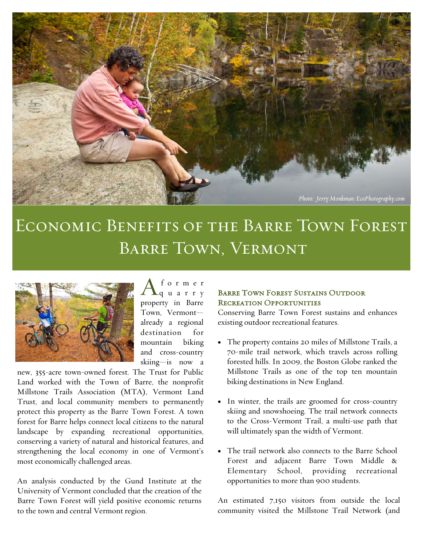

# Economic Benefits of the Barre Town Forest Barre Town, Vermont



 $A_{\tiny{\textrm{q u a r r y}}}^{\tiny{\textrm{form er}}}$ property in Barre Town, Vermont already a regional destination for mountain biking and cross-country skiing—is now a

new, 355-acre town-owned forest. The Trust for Public Land worked with the Town of Barre, the nonprofit Millstone Trails Association (MTA), Vermont Land Trust, and local community members to permanently protect this property as the Barre Town Forest. A town forest for Barre helps connect local citizens to the natural landscape by expanding recreational opportunities, conserving a variety of natural and historical features, and strengthening the local economy in one of Vermont's most economically challenged areas.

An analysis conducted by the Gund Institute at the University of Vermont concluded that the creation of the Barre Town Forest will yield positive economic returns to the town and central Vermont region.

#### BARRE TOWN FOREST SUSTAINS OUTDOOR Recreation Opportunities

Conserving Barre Town Forest sustains and enhances existing outdoor recreational features.

- The property contains 20 miles of Millstone Trails, a 70-mile trail network, which travels across rolling forested hills. In 2009, the Boston Globe ranked the Millstone Trails as one of the top ten mountain biking destinations in New England.
- In winter, the trails are groomed for cross-country skiing and snowshoeing. The trail network connects to the Cross-Vermont Trail, a multi-use path that will ultimately span the width of Vermont.
- The trail network also connects to the Barre School Forest and adjacent Barre Town Middle & Elementary School, providing recreational opportunities to more than 900 students.

An estimated 7,150 visitors from outside the local community visited the Millstone Trail Network (and